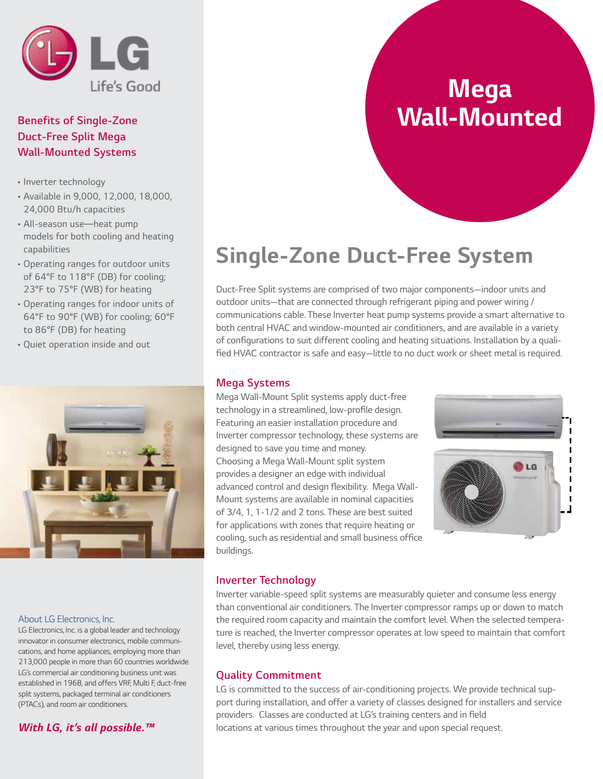

### *Benefits of Single-Zone Duct-Free Split Mega Wall-Mounted Systems*

- *Inverter technology*
- *Available in 9,000, 12,000, 18,000, 24,000 Btu/h capacities*
- *All-season use*—*heat pump models for both cooling and heating capabilities*
- *Operating ranges for outdoor units of 64°F to 118°F (DB) for cooling; 23°F to 75°F (WB) for heating*
- *Operating ranges for indoor units of 64°F to 90°F (WB) for cooling; 60°F to 86°F (DB) for heating*
- *Quiet operation inside and out*



#### *About LG Electronics, Inc.*

*LG Electronics, Inc. is a global leader and technology innovator in consumer electronics, mobile communications, and home appliances, employing more than 213,000 people in more than 60 countries worldwide. LG's commercial air conditioning business unit was established in 1968, and offers VRF, Multi F, duct-free split systems, packaged terminal air conditioners (PTACs), and room air conditioners.*

### *With LG, it's all possible.™*

### *Mega Wall-Mounted*

## *Single-Zone Duct-Free System*

*Duct-Free Split systems are comprised of two major components—indoor units and outdoor units—that are connected through refrigerant piping and power wiring / communications cable. These Inverter heat pump systems provide a smart alternative to both central HVAC and window-mounted air conditioners, and are available in a variety*  of configurations to suit different cooling and heating situations. Installation by a qualified HVAC contractor is safe and easy—little to no duct work or sheet metal is required.

### *Mega Systems*

*Mega Wall-Mount Split systems apply duct-free*  technology in a streamlined, low-profile design. *Featuring an easier installation procedure and Inverter compressor technology, these systems are designed to save you time and money. Choosing a Mega Wall-Mount split system provides a designer an edge with individual*  advanced control and design flexibility. Mega Wall-*Mount systems are available in nominal capacities of 3/4, 1, 1-1/2 and 2 tons. These are best suited*  for applications with zones that require heating or cooling, such as residential and small business office *buildings.* 



### *Inverter Technology*

Inverter variable-speed split systems are measurably quieter and consume less energy *than conventional air conditioners. The Inverter compressor ramps up or down to match*  the required room capacity and maintain the comfort level. When the selected tempera*ture is reached, the Inverter compressor operates at low speed to maintain that comfort level, thereby using less energy.*

### *Quality Commitment*

*LG is committed to the success of air-conditioning projects. We provide technical support during installation, and offer a variety of classes designed for installers and service*  providers. Classes are conducted at LG's training centers and in field locations at various times throughout the year and upon special request.